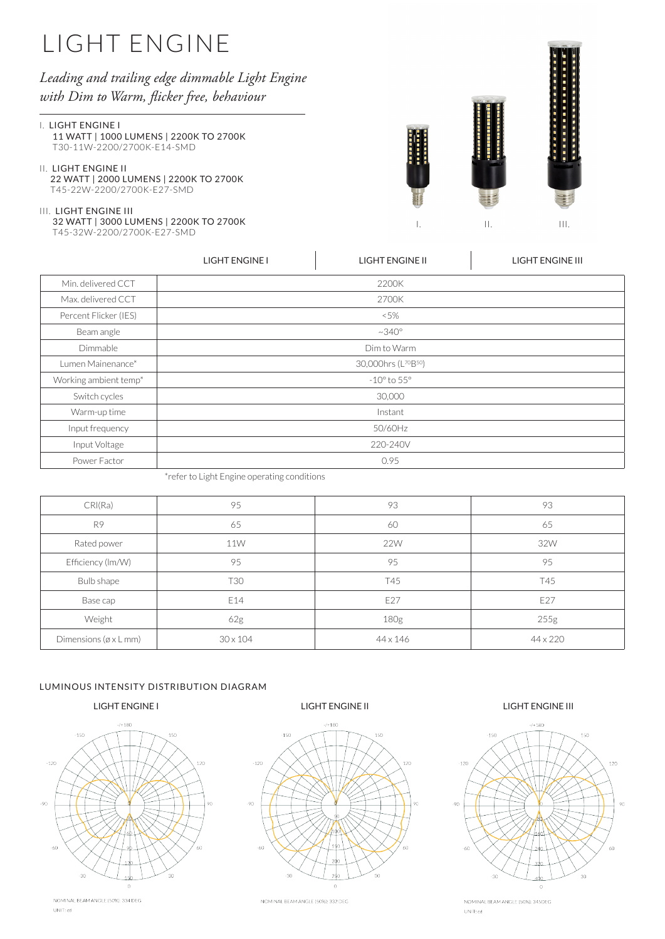## *Leading and trailing edge dimmable Light Engine with Dim to Warm, flicker free, behaviour*

#### I. LIGHT ENGINE I

 11 WATT | 1000 LUMENS | 2200K TO 2700K T30-11W-2200/2700K-E14-SMD

### II. LIGHT ENGINE II

 22 WATT | 2000 LUMENS | 2200K TO 2700K T45-22W-2200/2700K-E27-SMD

#### III. LIGHT ENGINE III

 32 WATT | 3000 LUMENS | 2200K TO 2700K T45-32W-2200/2700K-E27-SMD



. . . . . . . . . . . . . . . . .

|                       | <b>LIGHT ENGINE I</b> | <b>LIGHT ENGINE II</b>                       | <b>LIGHT ENGINE III</b> |  |  |  |  |  |
|-----------------------|-----------------------|----------------------------------------------|-------------------------|--|--|--|--|--|
| Min. delivered CCT    |                       | 2200K                                        |                         |  |  |  |  |  |
| Max. delivered CCT    |                       | 2700K                                        |                         |  |  |  |  |  |
| Percent Flicker (IES) |                       | ~5%                                          |                         |  |  |  |  |  |
| Beam angle            |                       | $~10^{\circ}$                                |                         |  |  |  |  |  |
| Dimmable              |                       | Dim to Warm                                  |                         |  |  |  |  |  |
| Lumen Mainenance*     |                       | 30,000hrs (L <sup>70</sup> B <sup>50</sup> ) |                         |  |  |  |  |  |
| Working ambient temp* |                       | $-10^{\circ}$ to $55^{\circ}$                |                         |  |  |  |  |  |
| Switch cycles         |                       | 30,000                                       |                         |  |  |  |  |  |
| Warm-up time          |                       | Instant                                      |                         |  |  |  |  |  |
| Input frequency       |                       | 50/60Hz                                      |                         |  |  |  |  |  |
| Input Voltage         |                       | 220-240V                                     |                         |  |  |  |  |  |
| Power Factor          |                       | 0.95                                         |                         |  |  |  |  |  |

\*refer to Light Engine operating conditions

| CRI(Ra)                            | 95              | 93         | 93       |
|------------------------------------|-----------------|------------|----------|
| R <sub>9</sub>                     | 65              | 60         | 65       |
| Rated power                        | <b>11W</b>      | <b>22W</b> | 32W      |
| Efficiency (Im/W)                  | 95              | 95         | 95       |
| Bulb shape                         | T30             | T45        | T45      |
| Base cap                           | E14             | E27        | E27      |
| Weight                             | 62g             | 180g       | 255g     |
| Dimensions ( $\alpha \times L$ mm) | $30 \times 104$ | 44 x 146   | 44 x 220 |

### LUMINOUS INTENSITY DISTRIBUTION DIAGRAM



NOMINAL BEAM ANGLE (50%): 334 DEG UNIT;  $\bar{c}d$ 



NOMINAL BEAM ANGLE (50%): 332 DEG

### LIGHT ENGINE I LIGHT ENGINE II LIGHT ENGINE III



NOMINAL BEAM ANGLE (50%): 345DEG  $UNIT; cd$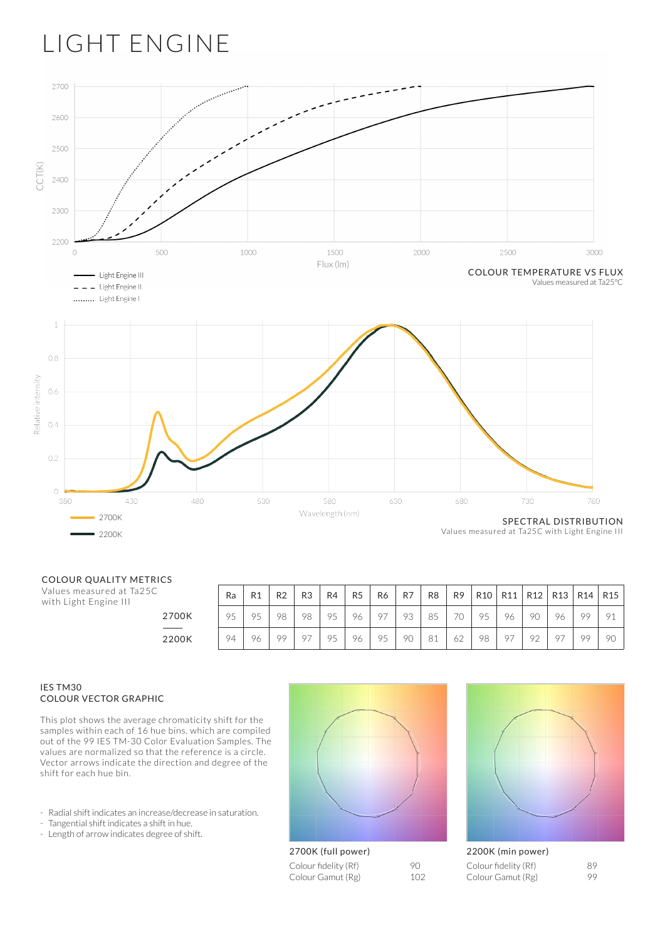

#### COLOUR QUALITY METRICS

Values measured at Ta25C with Light Engine III

| L5    |    |    |                |                |    |                |                |                |                |                |     |    |                 |                |                 |                 |
|-------|----|----|----------------|----------------|----|----------------|----------------|----------------|----------------|----------------|-----|----|-----------------|----------------|-----------------|-----------------|
|       | Ra | R1 | R <sub>2</sub> | R <sub>3</sub> | R4 | R <sub>5</sub> | R <sub>6</sub> | R <sub>7</sub> | R <sub>8</sub> | R <sub>9</sub> | R10 |    | R11   R12   R13 |                | R <sub>14</sub> | R <sub>15</sub> |
| 2700K | 95 | 95 | 98             | 98             | 95 | 96             | O <sub>7</sub> | 93             | 85             | 70             | 95  | 96 | 90              | 96             | 99              | 91              |
| 2200K | 94 | 96 | 99             |                | 95 | 96             | 95             | 90             | 81             | 62             | 98  | 97 | 92              | Q <sub>7</sub> | 99              | 90              |

#### IES TM30 COLOUR VECTOR GRAPHIC

This plot shows the average chromaticity shift for the samples within each of 16 hue bins. which are compiled out of the 99 IES TM-30 Color Evaluation Samples. The values are normalized so that the reference is a circle. Vector arrows indicate the direction and degree of the shift for each hue bin.

- Radial shift indicates an increase/decrease in saturation.
- Tangential shift indicates a shift in hue.
- Length of arrow indicates degree of shift.





Colour fidelity (Rf) 90<br>Colour Gamut (Rg) 102 Colour Gamut (Rg)

| 2200K (min power)                         |          |
|-------------------------------------------|----------|
| Colour fidelity (Rf)<br>Colour Gamut (Rg) | 89<br>99 |
|                                           |          |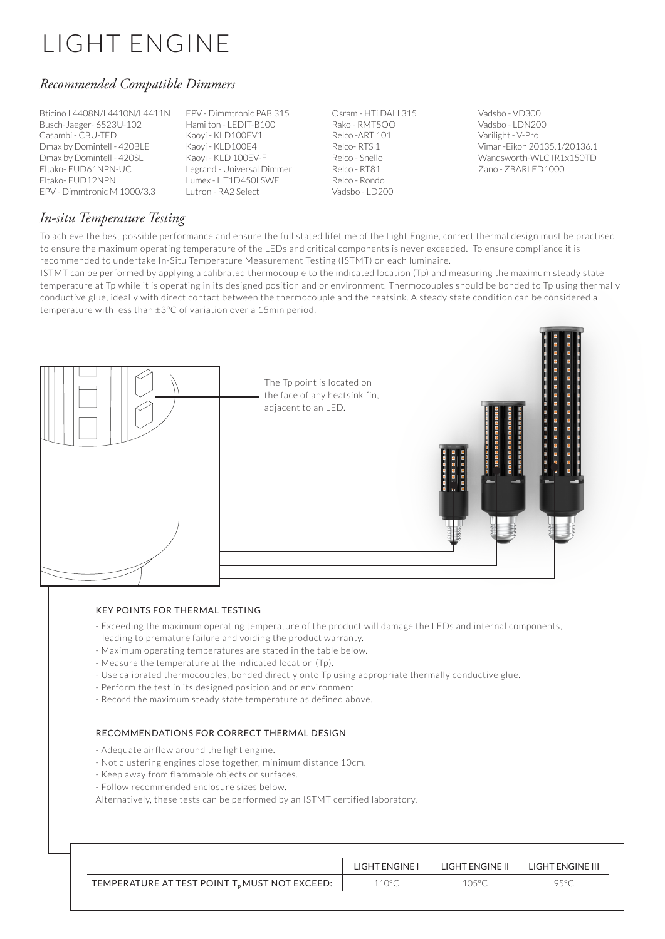## *Recommended Compatible Dimmers*

Bticino L4408N/L4410N/L4411N Busch-Jaeger- 6523U-102 Casambi - CBU-TED Dmax by Domintell - 420BLE Dmax by Domintell - 420SL Eltako- EUD61NPN-UC Eltako- EUD12NPN EPV - Dimmtronic M 1000/3.3

EPV - Dimmtronic PAB 315 Hamilton - LEDIT-B100 Kaoyi - KLD100EV1 Kaoyi - KLD100E4 Kaoyi - KLD 100EV-F Legrand - Universal Dimmer Lumex - L T1D450LSWE Lutron - RA2 Select

Osram - HTi DALI 315 Rako - RMT5OO Relco -ART 101 Relco- RTS 1 Relco - Snello Relco - RT81 Relco - Rondo Vadsbo - LD200

Vadsbo - VD300 Vadsbo - LDN200 Varilight - V-Pro Vimar -Eikon 20135.1/20136.1 Wandsworth-WLC IR1x150TD Zano - ZBARLED1000

## *In-situ Temperature Testing*

To achieve the best possible performance and ensure the full stated lifetime of the Light Engine, correct thermal design must be practised to ensure the maximum operating temperature of the LEDs and critical components is never exceeded. To ensure compliance it is recommended to undertake In-Situ Temperature Measurement Testing (ISTMT) on each luminaire.

ISTMT can be performed by applying a calibrated thermocouple to the indicated location (Tp) and measuring the maximum steady state temperature at Tp while it is operating in its designed position and or environment. Thermocouples should be bonded to Tp using thermally conductive glue, ideally with direct contact between the thermocouple and the heatsink. A steady state condition can be considered a temperature with less than ±3°C of variation over a 15min period.



### KEY POINTS FOR THERMAL TESTING

- Exceeding the maximum operating temperature of the product will damage the LEDs and internal components, leading to premature failure and voiding the product warranty.
- Maximum operating temperatures are stated in the table below.
- Measure the temperature at the indicated location (Tp).
- Use calibrated thermocouples, bonded directly onto Tp using appropriate thermally conductive glue.
- Perform the test in its designed position and or environment.
- Record the maximum steady state temperature as defined above.

### RECOMMENDATIONS FOR CORRECT THERMAL DESIGN

- Adequate airflow around the light engine.
- Not clustering engines close together, minimum distance 10cm.
- Keep away from flammable objects or surfaces.
- Follow recommended enclosure sizes below.

Alternatively, these tests can be performed by an ISTMT certified laboratory.

|                                                  | LIGHT ENGINE I | LIGHT ENGINE II | LIGHT ENGINE III |
|--------------------------------------------------|----------------|-----------------|------------------|
| TEMPERATURE AT TEST POINT $T_p$ MUST NOT EXCEED: | 110°C          | 105°C           | 95°C             |